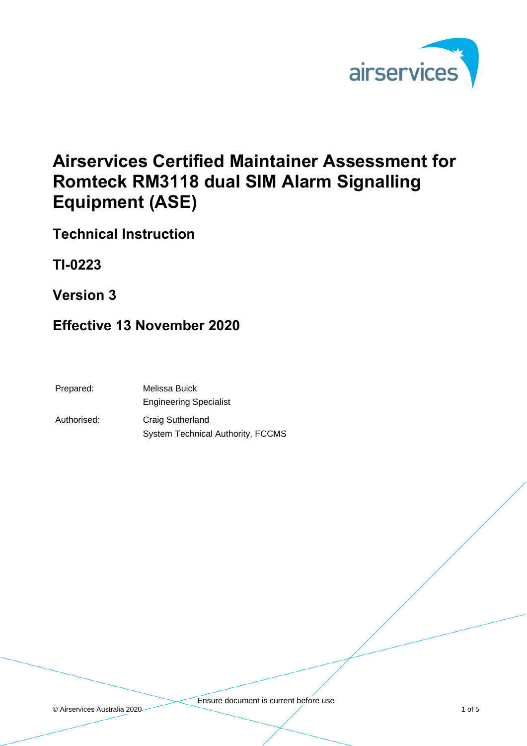

# **Airservices Certified Maintainer Assessment for Romteck RM3118 dual SIM Alarm Signalling Equipment (ASE)**

**Technical Instruction**

**TI-0223** 

**Version 3**

#### **Effective 13 November 2020**

| Prepared:   | Melissa Buick                            |
|-------------|------------------------------------------|
|             | <b>Engineering Specialist</b>            |
| Authorised: | Craig Sutherland                         |
|             | <b>System Technical Authority, FCCMS</b> |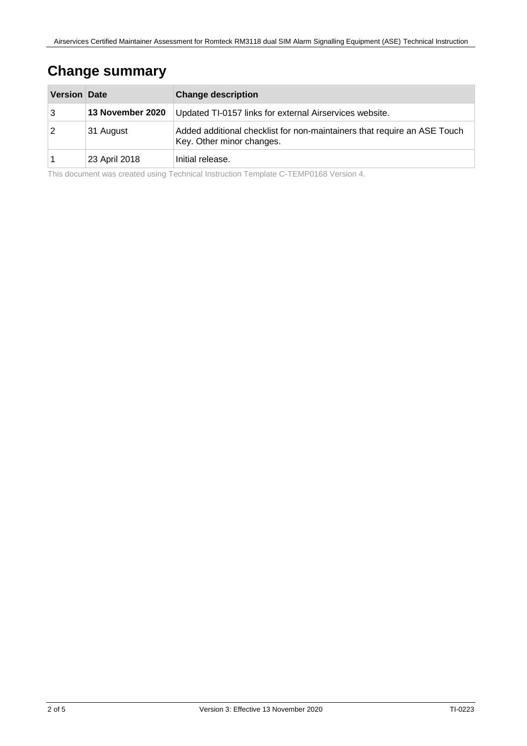#### **Change summary**

| <b>Version Date</b> |                  | <b>Change description</b>                                                                             |
|---------------------|------------------|-------------------------------------------------------------------------------------------------------|
| 3                   | 13 November 2020 | Updated TI-0157 links for external Airservices website.                                               |
| $\sqrt{2}$          | 31 August        | Added additional checklist for non-maintainers that require an ASE Touch<br>Key. Other minor changes. |
|                     | 23 April 2018    | Initial release.                                                                                      |

This document was created using Technical Instruction Template C-TEMP0168 Version 4.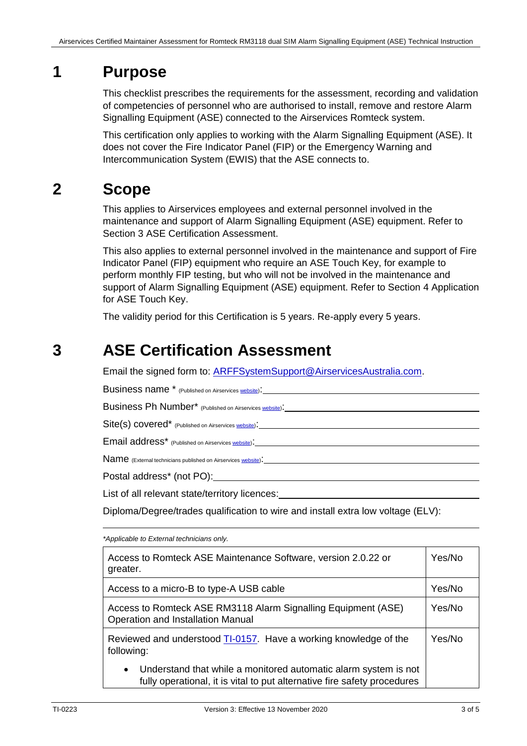### **1 Purpose**

This checklist prescribes the requirements for the assessment, recording and validation of competencies of personnel who are authorised to install, remove and restore Alarm Signalling Equipment (ASE) connected to the Airservices Romteck system.

This certification only applies to working with the Alarm Signalling Equipment (ASE). It does not cover the Fire Indicator Panel (FIP) or the Emergency Warning and Intercommunication System (EWIS) that the ASE connects to.

## **2 Scope**

This applies to Airservices employees and external personnel involved in the maintenance and support of Alarm Signalling Equipment (ASE) equipment. Refer to Section [3](#page-2-0) [ASE Certification](#page-2-0) Assessment.

This also applies to external personnel involved in the maintenance and support of Fire Indicator Panel (FIP) equipment who require an ASE Touch Key, for example to perform monthly FIP testing, but who will not be involved in the maintenance and support of Alarm Signalling Equipment (ASE) equipment. Refer to Section [4](#page-4-0) [Application](#page-4-0)  [for ASE Touch Key.](#page-4-0)

The validity period for this Certification is 5 years. Re-apply every 5 years.

#### <span id="page-2-0"></span>**3 ASE Certification Assessment**

Email the signed form to: [ARFFSystemSupport@AirservicesAustralia.com.](mailto:ASE.installations@airservicesaustralia.com)

Business name \* (Published on Airservice[s website\)](http://www.airservicesaustralia.com/wp-content/uploads/Airservices_ASE_Installers.pdf):

Business Ph Number<sup>\*</sup> (Published on Airservices <u>website</u>): \_\_\_\_\_\_\_\_\_\_\_\_\_\_\_\_\_\_\_\_\_\_

Site(s) covered<sup>\*</sup> (Published on Airservice[s website\)](http://www.airservicesaustralia.com/wp-content/uploads/Airservices_ASE_Installers.pdf):

Email address\* (Published on Airservice[s website\)](http://www.airservicesaustralia.com/wp-content/uploads/Airservices_ASE_Installers.pdf):

Name (External technicians published on Airservice[s website\)](http://www.airservicesaustralia.com/wp-content/uploads/Airservices_ASE_Installers.pdf).

Postal address\* (not PO):

List of all relevant state/territory licences:

Diploma/Degree/trades qualification to wire and install extra low voltage (ELV):

*\*Applicable to External technicians only.* 

| Access to Romteck ASE Maintenance Software, version 2.0.22 or<br>greater.                                                                                |  |  |
|----------------------------------------------------------------------------------------------------------------------------------------------------------|--|--|
| Access to a micro-B to type-A USB cable                                                                                                                  |  |  |
| Access to Romteck ASE RM3118 Alarm Signalling Equipment (ASE)<br>Operation and Installation Manual                                                       |  |  |
| Reviewed and understood TI-0157. Have a working knowledge of the<br>following:                                                                           |  |  |
| Understand that while a monitored automatic alarm system is not<br>$\bullet$<br>fully operational, it is vital to put alternative fire safety procedures |  |  |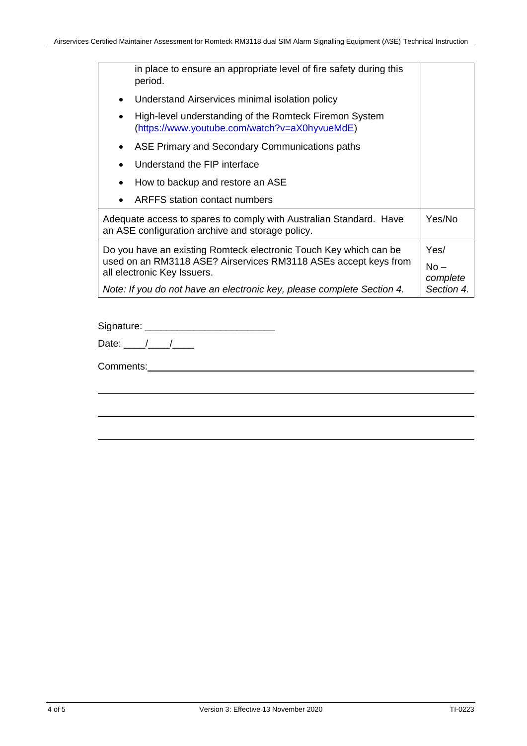| in place to ensure an appropriate level of fire safety during this<br>period.                                          |  |  |
|------------------------------------------------------------------------------------------------------------------------|--|--|
| Understand Airservices minimal isolation policy                                                                        |  |  |
| High-level understanding of the Romteck Firemon System<br><u>(https://www.youtube.com/watch?v=aX0hyvueMdE)</u>         |  |  |
| ASE Primary and Secondary Communications paths                                                                         |  |  |
| Understand the FIP interface                                                                                           |  |  |
| How to backup and restore an ASE                                                                                       |  |  |
| ARFFS station contact numbers                                                                                          |  |  |
| Adequate access to spares to comply with Australian Standard. Have<br>an ASE configuration archive and storage policy. |  |  |
| Do you have an existing Romteck electronic Touch Key which can be                                                      |  |  |
| used on an RM3118 ASE? Airservices RM3118 ASEs accept keys from<br>all electronic Key Issuers.                         |  |  |
| Note: If you do not have an electronic key, please complete Section 4.                                                 |  |  |
|                                                                                                                        |  |  |

Signature: \_\_\_\_\_\_\_\_\_\_\_\_\_\_\_\_\_\_\_\_\_\_\_\_

| L<br>. .<br>.<br>,,, |
|----------------------|
|----------------------|

Comments: